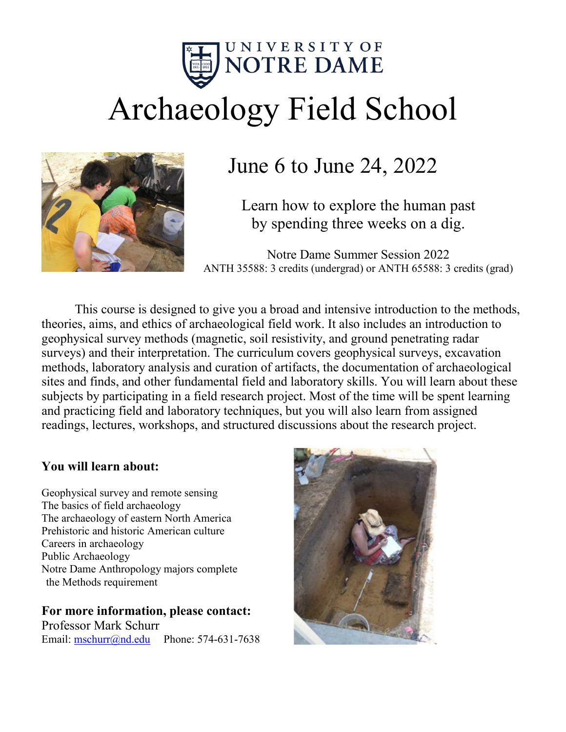

# Archaeology Field School



## June 6 to June 24, 2022

Learn how to explore the human past by spending three weeks on a dig.

Notre Dame Summer Session 2022 ANTH 35588: 3 credits (undergrad) or ANTH 65588: 3 credits (grad)

This course is designed to give you a broad and intensive introduction to the methods, theories, aims, and ethics of archaeological field work. It also includes an introduction to geophysical survey methods (magnetic, soil resistivity, and ground penetrating radar surveys) and their interpretation. The curriculum covers geophysical surveys, excavation methods, laboratory analysis and curation of artifacts, the documentation of archaeological sites and finds, and other fundamental field and laboratory skills. You will learn about these subjects by participating in a field research project. Most of the time will be spent learning and practicing field and laboratory techniques, but you will also learn from assigned readings, lectures, workshops, and structured discussions about the research project.

#### **You will learn about:**

Geophysical survey and remote sensing The basics of field archaeology The archaeology of eastern North America Prehistoric and historic American culture Careers in archaeology Public Archaeology Notre Dame Anthropology majors complete the Methods requirement

#### **For more information, please contact:**

Professor Mark Schurr Email: [mschurr@nd.edu](mailto:mschurr@nd.edu) Phone: 574-631-7638